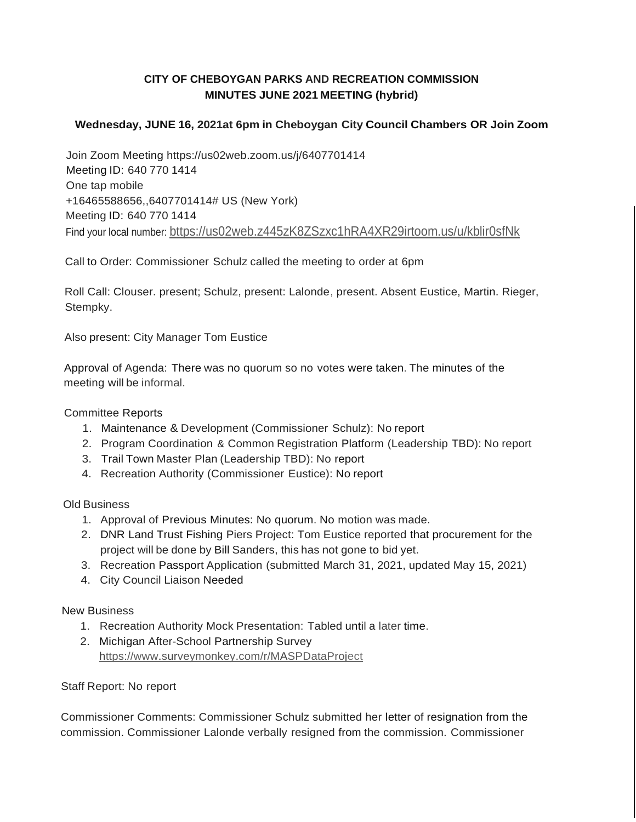# **CITY OF CHEBOYGAN PARKS AND RECREATION COMMISSION MINUTES JUNE 2021 MEETING (hybrid)**

## **Wednesday, JUNE 16, 2021at 6pm in Cheboygan City Council Chambers OR Join Zoom**

Join Zoom Meeting https://us02web.zoom.us/j/6407701414 Meeting ID: 640 770 1414 One tap mobile +16465588656,,6407701414# US (New York) Meeting ID: 640 770 1414 Find your local number: bttps://us02web.z445zK8ZSzxc1hRA4XR29irtoom.us/u/kblir0sfNk

Call to Order: Commissioner Schulz called the meeting to order at 6pm

Roll Call: Clouser. present; Schulz, present: Lalonde, present. Absent Eustice, Martin. Rieger, Stempky.

Also present: City Manager Tom Eustice

Approval of Agenda: There was no quorum so no votes were taken. The minutes of the meeting will be informal.

### Committee Reports

- 1. Maintenance & Development (Commissioner Schulz): No report
- 2. Program Coordination & Common Registration Platform (Leadership TBD): No report
- 3. Trail Town Master Plan (Leadership TBD): No report
- 4. Recreation Authority (Commissioner Eustice): No report

### Old Business

- 1. Approval of Previous Minutes: No quorum. No motion was made.
- 2. DNR Land Trust Fishing Piers Project: Tom Eustice reported that procurement for the project will be done by Bill Sanders, this has not gone to bid yet.
- 3. Recreation Passport Application (submitted March 31, 2021, updated May 15, 2021)
- 4. City Council Liaison Needed

### New Business

- 1. Recreation Authority Mock Presentation: Tabled until a later time.
- 2. Michigan After-School Partnership Survey https:/[/www.surveymonkey.com/r/MASPDataProject](http://www.surveymonkey.com/r/MASPDataProject)

### Staff Report: No report

Commissioner Comments: Commissioner Schulz submitted her letter of resignation from the commission. Commissioner Lalonde verbally resigned from the commission. Commissioner